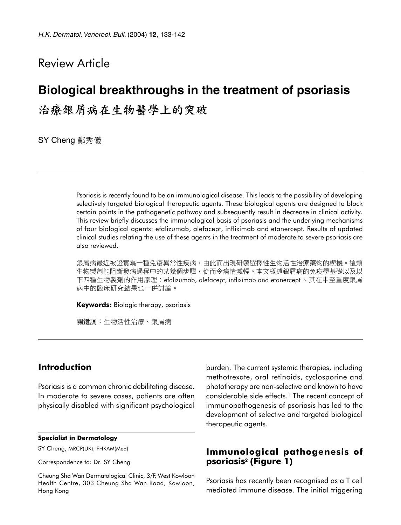## Review Article

# **Biological breakthroughs in the treatment of psoriasis**

治療銀屑病在生物醫學上的突破

SY Cheng 鄭秀儀

Psoriasis is recently found to be an immunological disease. This leads to the possibility of developing selectively targeted biological therapeutic agents. These biological agents are designed to block certain points in the pathogenetic pathway and subsequently result in decrease in clinical activity. This review briefly discusses the immunological basis of psoriasis and the underlying mechanisms of four biological agents: efalizumab, alefacept, infliximab and etanercept. Results of updated clinical studies relating the use of these agents in the treatment of moderate to severe psoriasis are also reviewed.

銀屑病最近被證實為一種免疫異常性疾病。由此而出現研製選擇性生物活性治療藥物的楔機。這類 生物製劑能阻斷發病過程中的某幾個步驟,從而令病情減輕。本文概述銀屑病的免疫學基礎以及以 下四種生物製劑的作用原理:efalizumab, alefacept, infliximab and etanercept 。其在中至重度銀屑 病中的臨床研究結果也一併討論。

**Keywords:** Biologic therapy, psoriasis

關鍵詞:生物活性治療、銀屑病

## **Introduction**

Psoriasis is a common chronic debilitating disease. In moderate to severe cases, patients are often physically disabled with significant psychological

#### **Specialist in Dermatology**

SY Cheng, MRCP(UK), FHKAM(Med)

Correspondence to: Dr. SY Cheng

Cheung Sha Wan Dermatological Clinic, 3/F, West Kowloon Health Centre, 303 Cheung Sha Wan Road, Kowloon, Hong Kong

burden. The current systemic therapies, including methotrexate, oral retinoids, cyclosporine and phototherapy are non-selective and known to have considerable side effects.<sup>1</sup> The recent concept of immunopathogenesis of psoriasis has led to the development of selective and targeted biological therapeutic agents.

## **Immunological pathogenesis of psoriasis2 (Figure 1)**

Psoriasis has recently been recognised as a T cell mediated immune disease. The initial triggering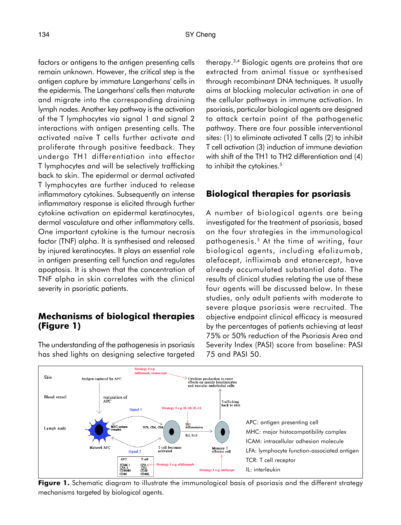factors or antigens to the antigen presenting cells remain unknown. However, the critical step is the antigen capture by immature Langerhans' cells in the epidermis. The Langerhans' cells then maturate and migrate into the corresponding draining lymph nodes. Another key pathway is the activation of the T lymphocytes via signal 1 and signal 2 interactions with antigen presenting cells. The activated naïve T cells further activate and proliferate through positive feedback. They undergo TH1 differentiation into effector T lymphocytes and will be selectively trafficking back to skin. The epidermal or dermal activated T lymphocytes are further induced to release inflammatory cytokines. Subsequently an intense inflammatory response is elicited through further cytokine activation on epidermal keratinocytes, dermal vasculature and other inflammatory cells. One important cytokine is the tumour necrosis factor (TNF) alpha. It is synthesised and released by injured keratinocytes. It plays an essential role in antigen presenting cell function and regulates apoptosis. It is shown that the concentration of TNF alpha in skin correlates with the clinical severity in psoriatic patients.

## **Mechanisms of biological therapies (Figure 1)**

The understanding of the pathogenesis in psoriasis has shed lights on designing selective targeted therapy.3,4 Biologic agents are proteins that are extracted from animal tissue or synthesised through recombinant DNA techniques. It usually aims at blocking molecular activation in one of the cellular pathways in immune activation. In psoriasis, particular biological agents are designed to attack certain point of the pathogenetic pathway. There are four possible interventional sites: (1) to eliminate activated T cells (2) to inhibit T cell activation (3) induction of immune deviation with shift of the TH1 to TH2 differentiation and (4) to inhibit the cytokines.<sup>5</sup>

## **Biological therapies for psoriasis**

A number of biological agents are being investigated for the treatment of psoriasis, based on the four strategies in the immunological pathogenesis.5 At the time of writing, four biological agents, including efalizumab, alefacept, infliximab and etanercept, have already accumulated substantial data. The results of clinical studies relating the use of these four agents will be discussed below. In these studies, only adult patients with moderate to severe plaque psoriasis were recruited. The objective endpoint clinical efficacy is measured by the percentages of patients achieving at least 75% or 50% reduction of the Psoriasis Area and Severity Index (PASI) score from baseline: PASI 75 and PASI 50.



**Figure 1.** Schematic diagram to illustrate the immunological basis of psoriasis and the different strategy mechanisms targeted by biological agents.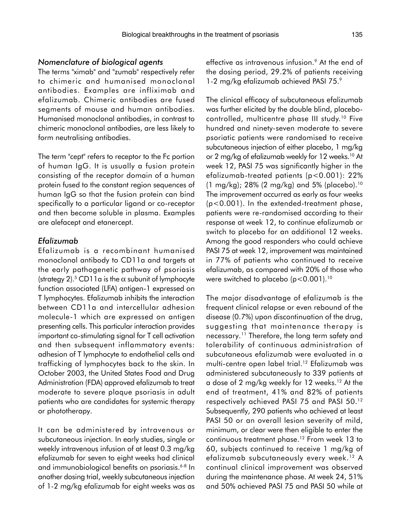#### *Nomenclature of biological agents*

The terms "ximab" and "zumab" respectively refer to chimeric and humanised monoclonal antibodies. Examples are infliximab and efalizumab. Chimeric antibodies are fused segments of mouse and human antibodies. Humanised monoclonal antibodies, in contrast to chimeric monoclonal antibodies, are less likely to form neutralising antibodies.

The term "cept" refers to receptor to the Fc portion of human IgG. It is usually a fusion protein consisting of the receptor domain of a human protein fused to the constant region sequences of human IgG so that the fusion protein can bind specifically to a particular ligand or co-receptor and then become soluble in plasma. Examples are alefacept and etanercept.

#### *Efalizumab*

Efalizumab is a recombinant humanised monoclonal antibody to CD11a and targets at the early pathogenetic pathway of psoriasis (strategy 2).<sup>5</sup> CD11a is the  $\alpha$  subunit of lymphocyte function associated (LFA) antigen-1 expressed on T lymphocytes. Efalizumab inhibits the interaction between CD11a and intercellular adhesion molecule-1 which are expressed on antigen presenting cells. This particular interaction provides important co-stimulating signal for T cell activation and then subsequent inflammatory events: adhesion of T lymphocyte to endothelial cells and trafficking of lymphocytes back to the skin. In October 2003, the United States Food and Drug Administration (FDA) approved efalizumab to treat moderate to severe plaque psoriasis in adult patients who are candidates for systemic therapy or phototherapy.

It can be administered by intravenous or subcutaneous injection. In early studies, single or weekly intravenous infusion of at least 0.3 mg/kg efalizumab for seven to eight weeks had clinical and immunobiological benefits on psoriasis.6-8 In another dosing trial, weekly subcutaneous injection of 1-2 mg/kg efalizumab for eight weeks was as effective as intravenous infusion.<sup>9</sup> At the end of the dosing period, 29.2% of patients receiving 1-2 mg/kg efalizumab achieved PASI 75.9

The clinical efficacy of subcutaneous efalizumab was further elicited by the double blind, placebocontrolled, multicentre phase III study.10 Five hundred and ninety-seven moderate to severe psoriatic patients were randomised to receive subcutaneous injection of either placebo, 1 mg/kg or 2 mg/kg of efalizumab weekly for 12 weeks.10 At week 12, PASI 75 was significantly higher in the efalizumab-treated patients (p<0.001): 22%  $(1 \text{ mg/kg})$ ; 28% (2 mg/kg) and 5% (placebo).<sup>10</sup> The improvement occurred as early as four weeks (p<0.001). In the extended-treatment phase, patients were re-randomised according to their response at week 12, to continue efalizumab or switch to placebo for an additional 12 weeks. Among the good responders who could achieve PASI 75 at week 12, improvement was maintained in 77% of patients who continued to receive efalizumab, as compared with 20% of those who were switched to placebo (p<0.001).<sup>10</sup>

The major disadvantage of efalizumab is the frequent clinical relapse or even rebound of the disease (0.7%) upon discontinuation of the drug, suggesting that maintenance therapy is necessary.<sup>11</sup> Therefore, the long term safety and tolerability of continuous administration of subcutaneous efalizumab were evaluated in a multi-centre open label trial.12 Efalizumab was administered subcutaneously to 339 patients at a dose of 2 mg/kg weekly for 12 weeks.<sup>12</sup> At the end of treatment, 41% and 82% of patients respectively achieved PASI 75 and PASI 50.12 Subsequently, 290 patients who achieved at least PASI 50 or an overall lesion severity of mild, minimum, or clear were then eligible to enter the continuous treatment phase.12 From week 13 to 60, subjects continued to receive 1 mg/kg of efalizumab subcutaneously every week.12 A continual clinical improvement was observed during the maintenance phase. At week 24, 51% and 50% achieved PASI 75 and PASI 50 while at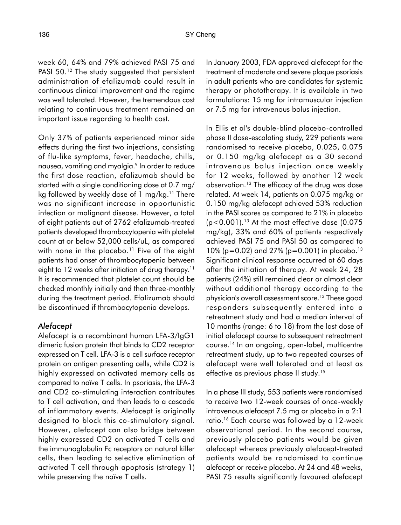week 60, 64% and 79% achieved PASI 75 and PASI 50.<sup>12</sup> The study suggested that persistent administration of efalizumab could result in continuous clinical improvement and the regime was well tolerated. However, the tremendous cost relating to continuous treatment remained an important issue regarding to health cost.

Only 37% of patients experienced minor side effects during the first two injections, consisting of flu-like symptoms, fever, headache, chills, nausea, vomiting and myalgia.9 In order to reduce the first dose reaction, efalizumab should be started with a single conditioning dose at 0.7 mg/ kg followed by weekly dose of 1 mg/kg.<sup>11</sup> There was no significant increase in opportunistic infection or malignant disease. However, a total of eight patients out of 2762 efalizumab-treated patients developed thrombocytopenia with platelet count at or below 52,000 cells/uL, as compared with none in the placebo.<sup>11</sup> Five of the eight patients had onset of thrombocytopenia between eight to 12 weeks after initiation of drug therapy.<sup>11</sup> It is recommended that platelet count should be checked monthly initially and then three-monthly during the treatment period. Efalizumab should be discontinued if thrombocytopenia develops.

#### *Alefacept*

Alefacept is a recombinant human LFA-3/IgG1 dimeric fusion protein that binds to CD2 receptor expressed on T cell. LFA-3 is a cell surface receptor protein on antigen presenting cells, while CD2 is highly expressed on activated memory cells as compared to naïve T cells. In psoriasis, the LFA-3 and CD2 co-stimulating interaction contributes to T cell activation, and then leads to a cascade of inflammatory events. Alefacept is originally designed to block this co-stimulatory signal. However, alefacept can also bridge between highly expressed CD2 on activated T cells and the immunoglobulin Fc receptors on natural killer cells, then leading to selective elimination of activated T cell through apoptosis (strategy 1) while preserving the naïve T cells.

In January 2003, FDA approved alefacept for the treatment of moderate and severe plaque psoriasis in adult patients who are candidates for systemic therapy or phototherapy. It is available in two formulations: 15 mg for intramuscular injection or 7.5 mg for intravenous bolus injection.

In Ellis et al's double-blind placebo-controlled phase II dose-escalating study, 229 patients were randomised to receive placebo, 0.025, 0.075 or 0.150 mg/kg alefacept as a 30 second intravenous bolus injection once weekly for 12 weeks, followed by another 12 week observation.13 The efficacy of the drug was dose related. At week 14, patients on 0.075 mg/kg or 0.150 mg/kg alefacept achieved 53% reduction in the PASI scores as compared to 21% in placebo  $(p<0.001)$ .<sup>13</sup> At the most effective dose (0.075) mg/kg), 33% and 60% of patients respectively achieved PASI 75 and PASI 50 as compared to 10% ( $p=0.02$ ) and 27% ( $p=0.001$ ) in placebo.<sup>13</sup> Significant clinical response occurred at 60 days after the initiation of therapy. At week 24, 28 patients (24%) still remained clear or almost clear without additional therapy according to the physician's overall assessment score.13 These good responders subsequently entered into a retreatment study and had a median interval of 10 months (range: 6 to 18) from the last dose of initial alefacept course to subsequent retreatment course.14 In an ongoing, open-label, multicentre retreatment study, up to two repeated courses of alefacept were well tolerated and at least as effective as previous phase II study.<sup>15</sup>

In a phase III study, 553 patients were randomised to receive two 12-week courses of once-weekly intravenous alefacept 7.5 mg or placebo in a 2:1 ratio.16 Each course was followed by a 12-week observational period. In the second course, previously placebo patients would be given alefacept whereas previously alefacept-treated patients would be randomised to continue alefacept or receive placebo. At 24 and 48 weeks, PASI 75 results significantly favoured alefacept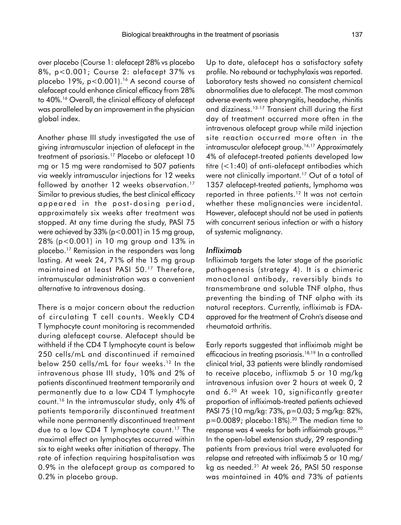over placebo (Course 1: alefacept 28% vs placebo 8%, p<0.001; Course 2: alefacept 37% vs placebo 19%, p<0.001).<sup>16</sup> A second course of alefacept could enhance clinical efficacy from 28% to 40%.16 Overall, the clinical efficacy of alefacept was paralleled by an improvement in the physician global index.

Another phase III study investigated the use of giving intramuscular injection of alefacept in the treatment of psoriasis.17 Placebo or alefacept 10 mg or 15 mg were randomised to 507 patients via weekly intramuscular injections for 12 weeks followed by another 12 weeks observation.<sup>17</sup> Similar to previous studies, the best clinical efficacy appeared in the post-dosing period, approximately six weeks after treatment was stopped. At any time during the study, PASI 75 were achieved by 33% (p<0.001) in 15 mg group, 28% (p<0.001) in 10 mg group and 13% in placebo.17 Remission in the responders was long lasting. At week 24, 71% of the 15 mg group maintained at least PASI 50.17 Therefore, intramuscular administration was a convenient alternative to intravenous dosing.

There is a major concern about the reduction of circulating T cell counts. Weekly CD4 T lymphocyte count monitoring is recommended during alefacept course. Alefacept should be withheld if the CD4 T lymphocyte count is below 250 cells/mL and discontinued if remained below 250 cells/mL for four weeks.<sup>12</sup> In the intravenous phase III study, 10% and 2% of patients discontinued treatment temporarily and permanently due to a low CD4 T lymphocyte count.16 In the intramuscular study, only 4% of patients temporarily discontinued treatment while none permanently discontinued treatment due to a low CD4 T lymphocyte count.<sup>17</sup> The maximal effect on lymphocytes occurred within six to eight weeks after initiation of therapy. The rate of infection requiring hospitalisation was 0.9% in the alefacept group as compared to 0.2% in placebo group.

Up to date, alefacept has a satisfactory safety profile. No rebound or tachyphylaxis was reported. Laboratory tests showed no consistent chemical abnormalities due to alefacept. The most common adverse events were pharyngitis, headache, rhinitis and dizziness.13-17 Transient chill during the first day of treatment occurred more often in the intravenous alefacept group while mild injection site reaction occurred more often in the intramuscular alefacept group.<sup>16,17</sup> Approximately 4% of alefacept-treated patients developed low titre (<1:40) of anti-alefacept antibodies which were not clinically important.<sup>17</sup> Out of a total of 1357 alefacept-treated patients, lymphoma was reported in three patients.<sup>12</sup> It was not certain whether these malignancies were incidental. However, alefacept should not be used in patients with concurrent serious infection or with a history of systemic malignancy.

#### *Infliximab*

Infliximab targets the later stage of the psoriatic pathogenesis (strategy 4). It is a chimeric monoclonal antibody, reversibly binds to transmembrane and soluble TNF alpha, thus preventing the binding of TNF alpha with its natural receptors. Currently, infliximab is FDAapproved for the treatment of Crohn's disease and rheumatoid arthritis.

Early reports suggested that infliximab might be efficacious in treating psoriasis.18,19 In a controlled clinical trial, 33 patients were blindly randomised to receive placebo, inflixmab 5 or 10 mg/kg intravenous infusion over 2 hours at week 0, 2 and 6.20 At week 10, significantly greater proportion of infliximab-treated patients achieved PASI 75 (10 mg/kg: 73%, p=0.03; 5 mg/kg: 82%,  $p=0.0089$ ; placebo:18%).<sup>20</sup> The median time to response was 4 weeks for both infliximab groups.20 In the open-label extension study, 29 responding patients from previous trial were evaluated for relapse and retreated with infliximab 5 or 10 mg/ kg as needed.21 At week 26, PASI 50 response was maintained in 40% and 73% of patients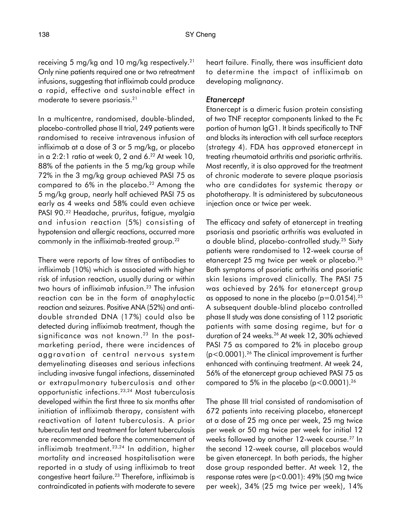receiving 5 mg/kg and 10 mg/kg respectively.21 Only nine patients required one or two retreatment infusions, suggesting that infliximab could produce a rapid, effective and sustainable effect in moderate to severe psoriasis.21

In a multicentre, randomised, double-blinded, placebo-controlled phase II trial, 249 patients were randomised to receive intravenous infusion of infliximab at a dose of 3 or 5 mg/kg, or placebo in a  $2:2:1$  ratio at week 0, 2 and 6. $2<sup>2</sup>$  At week 10, 88% of the patients in the 5 mg/kg group while 72% in the 3 mg/kg group achieved PASI 75 as compared to 6% in the placebo.<sup>22</sup> Among the 5 mg/kg group, nearly half achieved PASI 75 as early as 4 weeks and 58% could even achieve PASI 90.22 Headache, pruritus, fatigue, myalgia and infusion reaction (5%) consisting of hypotension and allergic reactions, occurred more commonly in the infliximab-treated group.22

There were reports of low titres of antibodies to infliximab (10%) which is associated with higher risk of infusion reaction, usually during or within two hours of infliximab infusion.<sup>23</sup> The infusion reaction can be in the form of anaphylactic reaction and seizures. Positive ANA (52%) and antidouble stranded DNA (17%) could also be detected during infliximab treatment, though the significance was not known.<sup>23</sup> In the postmarketing period, there were incidences of aggravation of central nervous system demyelinating diseases and serious infections including invasive fungal infections, disseminated or extrapulmonary tuberculosis and other opportunistic infections.23,24 Most tuberculosis developed within the first three to six months after initiation of infliximab therapy, consistent with reactivation of latent tuberculosis. A prior tuberculin test and treatment for latent tuberculosis are recommended before the commencement of infliximab treatment.<sup>23,24</sup> In addition, higher mortality and increased hospitalisation were reported in a study of using infliximab to treat congestive heart failure.23 Therefore, infliximab is contraindicated in patients with moderate to severe

heart failure. Finally, there was insufficient data to determine the impact of infliximab on developing malignancy.

#### *Etanercept*

Etanercept is a dimeric fusion protein consisting of two TNF receptor components linked to the Fc portion of human IgG1. It binds specifically to TNF and blocks its interaction with cell surface receptors (strategy 4). FDA has approved etanercept in treating rheumatoid arthritis and psoriatic arthritis. Most recently, it is also approved for the treatment of chronic moderate to severe plaque psoriasis who are candidates for systemic therapy or phototherapy. It is administered by subcutaneous injection once or twice per week.

The efficacy and safety of etanercept in treating psoriasis and psoriatic arthritis was evaluated in a double blind, placebo-controlled study.25 Sixty patients were randomised to 12-week course of etanercept 25 mg twice per week or placebo.<sup>25</sup> Both symptoms of psoriatic arthritis and psoriatic skin lesions improved clinically. The PASI 75 was achieved by 26% for etanercept group as opposed to none in the placebo  $(p=0.0154).^{25}$ A subsequent double-blind placebo controlled phase II study was done consisting of 112 psoriatic patients with same dosing regime, but for a duration of 24 weeks.<sup>26</sup> At week 12, 30% achieved PASI 75 as compared to 2% in placebo group (p<0.0001).26 The clinical improvement is further enhanced with continuing treatment. At week 24, 56% of the etanercept group achieved PASI 75 as compared to 5% in the placebo  $(p<0.0001).^{26}$ 

The phase III trial consisted of randomisation of 672 patients into receiving placebo, etanercept at a dose of 25 mg once per week, 25 mg twice per week or 50 mg twice per week for initial 12 weeks followed by another 12-week course.27 In the second 12-week course, all placebos would be given etanercept. In both periods, the higher dose group responded better. At week 12, the response rates were (p<0.001): 49% (50 mg twice per week), 34% (25 mg twice per week), 14%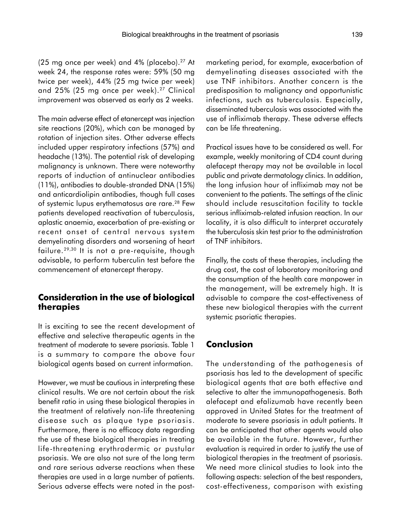(25 mg once per week) and 4% (placebo). $27$  At week 24, the response rates were: 59% (50 mg twice per week), 44% (25 mg twice per week) and  $25\%$  (25 mg once per week).<sup>27</sup> Clinical improvement was observed as early as 2 weeks.

The main adverse effect of etanercept was injection site reactions (20%), which can be managed by rotation of injection sites. Other adverse effects included upper respiratory infections (57%) and headache (13%). The potential risk of developing malignancy is unknown. There were noteworthy reports of induction of antinuclear antibodies (11%), antibodies to double-stranded DNA (15%) and anticardiolipin antibodies, though full cases of systemic lupus erythematosus are rare.<sup>28</sup> Few patients developed reactivation of tuberculosis, aplastic anaemia, exacerbation of pre-existing or recent onset of central nervous system demyelinating disorders and worsening of heart failure.29,30 It is not a pre-requisite, though advisable, to perform tuberculin test before the commencement of etanercept therapy.

## **Consideration in the use of biological therapies**

It is exciting to see the recent development of effective and selective therapeutic agents in the treatment of moderate to severe psoriasis. Table 1 is a summary to compare the above four biological agents based on current information.

However, we must be cautious in interpreting these clinical results. We are not certain about the risk benefit ratio in using these biological therapies in the treatment of relatively non-life threatening disease such as plaque type psoriasis. Furthermore, there is no efficacy data regarding the use of these biological therapies in treating life-threatening erythrodermic or pustular psoriasis. We are also not sure of the long term and rare serious adverse reactions when these therapies are used in a large number of patients. Serious adverse effects were noted in the postmarketing period, for example, exacerbation of demyelinating diseases associated with the use TNF inhibitors. Another concern is the predisposition to malignancy and opportunistic infections, such as tuberculosis. Especially, disseminated tuberculosis was associated with the use of infliximab therapy. These adverse effects can be life threatening.

Practical issues have to be considered as well. For example, weekly monitoring of CD4 count during alefacept therapy may not be available in local public and private dermatology clinics. In addition, the long infusion hour of infliximab may not be convenient to the patients. The settings of the clinic should include resuscitation facility to tackle serious infliximab-related infusion reaction. In our locality, it is also difficult to interpret accurately the tuberculosis skin test prior to the administration of TNF inhibitors.

Finally, the costs of these therapies, including the drug cost, the cost of laboratory monitoring and the consumption of the health care manpower in the management, will be extremely high. It is advisable to compare the cost-effectiveness of these new biological therapies with the current systemic psoriatic therapies.

## **Conclusion**

The understanding of the pathogenesis of psoriasis has led to the development of specific biological agents that are both effective and selective to alter the immunopathogenesis. Both alefacept and efalizumab have recently been approved in United States for the treatment of moderate to severe psoriasis in adult patients. It can be anticipated that other agents would also be available in the future. However, further evaluation is required in order to justify the use of biological therapies in the treatment of psoriasis. We need more clinical studies to look into the following aspects: selection of the best responders, cost-effectiveness, comparison with existing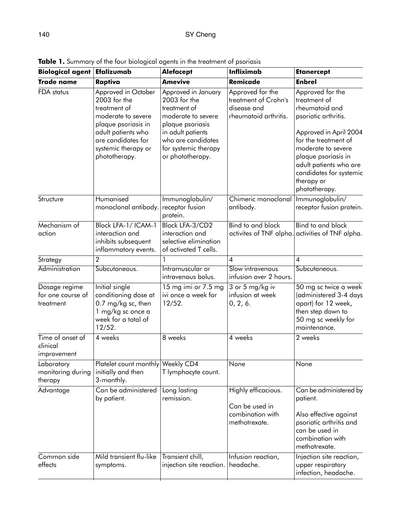| <b>Biological agent</b>                         | Efalizumab                                                                                                                                                                           | <b>Alefacept</b>                                                                                                                                                                       | <b>Infliximab</b>                                                                | <b>Etanercept</b>                                                                                                                                                                                                                                             |
|-------------------------------------------------|--------------------------------------------------------------------------------------------------------------------------------------------------------------------------------------|----------------------------------------------------------------------------------------------------------------------------------------------------------------------------------------|----------------------------------------------------------------------------------|---------------------------------------------------------------------------------------------------------------------------------------------------------------------------------------------------------------------------------------------------------------|
| <b>Trade name</b>                               | Raptiva                                                                                                                                                                              | <b>Amevive</b>                                                                                                                                                                         | <b>Remicade</b>                                                                  | <b>Enbrel</b>                                                                                                                                                                                                                                                 |
| FDA status                                      | Approved in October<br>2003 for the<br>treatment of<br>moderate to severe<br>plaque psoriasis in<br>adult patients who<br>are candidates for<br>systemic therapy or<br>phototherapy. | Approved in January<br>$2003$ for the<br>treatment of<br>moderate to severe<br>plaque psoriasis<br>in adult patients<br>who are candidates<br>for systemic therapy<br>or phototherapy. | Approved for the<br>treatment of Crohn's<br>disease and<br>rheumatoid arthritis. | Approved for the<br>treatment of<br>rheumatoid and<br>psoriatic arthritis.<br>Approved in April 2004<br>for the treatment of<br>moderate to severe<br>plaque psoriasis in<br>adult patients who are<br>candidates for systemic<br>therapy or<br>phototherapy. |
| Structure                                       | Humanised<br>monoclonal antibody.                                                                                                                                                    | Immunoglobulin/<br>receptor fusion<br>protein.                                                                                                                                         | Chimeric monoclonal<br>antibody.                                                 | Immunoglobulin/<br>receptor fusion protein.                                                                                                                                                                                                                   |
| Mechanism of<br>action                          | Block LFA-1/ICAM-1<br>interaction and<br>inhibits subsequent<br>inflammatory events.                                                                                                 | Block LFA-3/CD2<br>interaction and<br>selective elimination<br>of activated T cells.                                                                                                   | Bind to and block<br>activites of TNF alpha.                                     | Bind to and block<br>activities of TNF alpha.                                                                                                                                                                                                                 |
| Strategy                                        | $\overline{2}$                                                                                                                                                                       |                                                                                                                                                                                        | 4                                                                                | $\overline{4}$                                                                                                                                                                                                                                                |
| Administration                                  | Subcutaneous.                                                                                                                                                                        | Intramuscular or<br>intravenous bolus.                                                                                                                                                 | Slow intravenous<br>infusion over 2 hours.                                       | Subcutaneous.                                                                                                                                                                                                                                                 |
| Dosage regime<br>for one course of<br>treatment | Initial single<br>conditioning dose at<br>0.7 mg/kg sc, then<br>1 mg/kg sc once a<br>week for a total of<br>12/52.                                                                   | 15 mg imi or 7.5 mg<br>ivi once a week for<br>12/52.                                                                                                                                   | 3 or 5 mg/kg iv<br>infusion at week<br>0, 2, 6.                                  | 50 mg sc twice a week<br>(administered 3-4 days<br>apart) for 12 week,<br>then step down to<br>50 mg sc weekly for<br>maintenance.                                                                                                                            |
| Time of onset of<br>clinical<br>improvement     | 4 weeks                                                                                                                                                                              | 8 weeks                                                                                                                                                                                | 4 weeks                                                                          | 2 weeks                                                                                                                                                                                                                                                       |
| Laboratory<br>monitoring during<br>therapy      | Platelet count monthly Weekly CD4<br>initially and then<br>3-monthly.                                                                                                                | T lymphocyte count.                                                                                                                                                                    | None                                                                             | None                                                                                                                                                                                                                                                          |
| Advantage                                       | Can be administered<br>by patient.                                                                                                                                                   | Long lasting<br>remission.                                                                                                                                                             | Highly efficacious.<br>Can be used in<br>combination with<br>methotrexate.       | Can be administered by<br>patient.<br>Also effective against<br>psoriatic arthritis and<br>can be used in<br>combination with<br>methotrexate.                                                                                                                |
| Common side<br>effects                          | Mild transient flu-like<br>symptoms.                                                                                                                                                 | Transient chill,<br>injection site reaction.                                                                                                                                           | Infusion reaction,<br>headache.                                                  | Injection site reaction,<br>upper respiratory<br>infection, headache.                                                                                                                                                                                         |

**Table 1.** Summary of the four biological agents in the treatment of psoriasis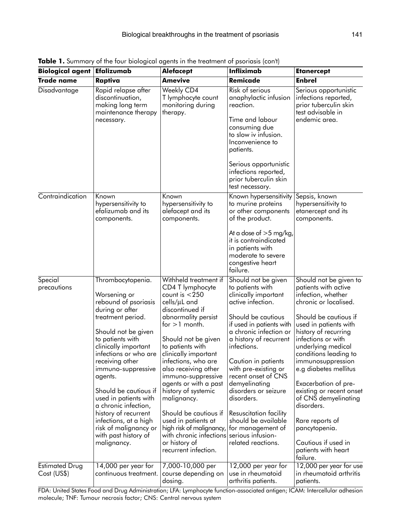| <b>Biological agent</b>       | Efalizumab                                                                                                                                                                                                                                                                                                                                                                                                                                   | <b>Alefacept</b>                                                                                                                                                                                                                                                                                                                                                                                                                                                                                                    | <b>Infliximab</b>                                                                                                                                                                                                                                                                                                                                                                                                                  | <b>Etanercept</b>                                                                                                                                                                                                                                                                                                                                                                                                                                                      |
|-------------------------------|----------------------------------------------------------------------------------------------------------------------------------------------------------------------------------------------------------------------------------------------------------------------------------------------------------------------------------------------------------------------------------------------------------------------------------------------|---------------------------------------------------------------------------------------------------------------------------------------------------------------------------------------------------------------------------------------------------------------------------------------------------------------------------------------------------------------------------------------------------------------------------------------------------------------------------------------------------------------------|------------------------------------------------------------------------------------------------------------------------------------------------------------------------------------------------------------------------------------------------------------------------------------------------------------------------------------------------------------------------------------------------------------------------------------|------------------------------------------------------------------------------------------------------------------------------------------------------------------------------------------------------------------------------------------------------------------------------------------------------------------------------------------------------------------------------------------------------------------------------------------------------------------------|
| <b>Trade name</b>             | Raptiva                                                                                                                                                                                                                                                                                                                                                                                                                                      | <b>Amevive</b>                                                                                                                                                                                                                                                                                                                                                                                                                                                                                                      | <b>Remicade</b>                                                                                                                                                                                                                                                                                                                                                                                                                    | <b>Enbrel</b>                                                                                                                                                                                                                                                                                                                                                                                                                                                          |
| Disadvantage                  | Rapid relapse after<br>discontinuation,<br>making long term<br>maintenance therapy<br>necessary.                                                                                                                                                                                                                                                                                                                                             | Weekly CD4<br>T lymphocyte count<br>monitoring during<br>therapy.                                                                                                                                                                                                                                                                                                                                                                                                                                                   | <b>Risk of serious</b><br>anaphylactic infusion<br>reaction.<br>Time and labour<br>consuming due<br>to slow iv infusion.<br>Inconvenience to<br>patients.<br>Serious opportunistic<br>infections reported,<br>prior tuberculin skin<br>test necessary.                                                                                                                                                                             | Serious opportunistic<br>infections reported,<br>prior tuberculin skin<br>test advisable in<br>endemic area.                                                                                                                                                                                                                                                                                                                                                           |
| Contraindication              | Known<br>hypersensitivity to<br>efalizumab and its<br>components.                                                                                                                                                                                                                                                                                                                                                                            | Known<br>hypersensitivity to<br>alefacept and its<br>components.                                                                                                                                                                                                                                                                                                                                                                                                                                                    | Known hypersensitivity<br>to murine proteins<br>or other components<br>of the product.<br>At a dose of $>$ 5 mg/kg,<br>it is contraindicated<br>in patients with<br>moderate to severe<br>congestive heart<br>failure.                                                                                                                                                                                                             | Sepsis, known<br>hypersensitivity to<br>etanercept and its<br>components.                                                                                                                                                                                                                                                                                                                                                                                              |
| Special<br>precautions        | Thrombocytopenia.<br>Worsening or<br>rebound of psoriasis<br>during or after<br>treatment period.<br>Should not be given<br>to patients with<br>clinically important<br>infections or who are<br>receiving other<br>immuno-suppressive<br>agents.<br>Should be cautious if<br>used in patients with<br>a chronic infection,<br>history of recurrent<br>infections, at a high<br>risk of malignancy or<br>with past history of<br>malignancy. | Withheld treatment if<br>CD4 T lymphocyte<br>count is $<$ 250<br>cells/µL and<br>discontinued if<br>abnormality persist<br>for $>1$ month.<br>Should not be given<br>to patients with<br>clinically important<br>infections, who are<br>also receiving other<br>immuno-suppressive<br>agents or with a past<br>history of systemic<br>malignancy.<br>Should be cautious if<br>used in patients at<br>high risk of malignancy,<br>with chronic infections serious infusion-<br>or history of<br>recurrent infection. | Should not be given<br>to patients with<br>clinically important<br>active infection.<br>Should be cautious<br>if used in patients with<br>a chronic infection or<br>a history of recurrent<br>infections.<br>Caution in patients<br>with pre-existing or<br>recent onset of CNS<br>demyelinating<br>disorders or seizure<br>disorders.<br>Resuscitation facility<br>should be available<br>for management of<br>related reactions. | Should not be given to<br>patients with active<br>infection, whether<br>chronic or localised.<br>Should be cautious if<br>used in patients with<br>history of recurring<br>infections or with<br>underlying medical<br>conditions leading to<br>immunosuppression<br>e.g diabetes mellitus<br>Exacerbation of pre-<br>existing or recent onset<br>of CNS demyelinating<br>disorders.<br>Rare reports of<br>pancytopenia.<br>Cautious if used in<br>patients with heart |
| Estimated Drug<br>Cost (US\$) | 14,000 per year for<br>continuous treatment.                                                                                                                                                                                                                                                                                                                                                                                                 | 7,000-10,000 per<br>course depending on<br>dosing.                                                                                                                                                                                                                                                                                                                                                                                                                                                                  | 12,000 per year for<br>use in rheumatoid<br>arthritis patients.                                                                                                                                                                                                                                                                                                                                                                    | failure.<br>12,000 per year for use<br>in rheumatoid arthritis<br>patients.                                                                                                                                                                                                                                                                                                                                                                                            |

**Table 1.** Summary of the four biological agents in the treatment of psoriasis (con't)

FDA: United States Food and Drug Administration; LFA: Lymphocyte function-associated antigen; ICAM: Intercellular adhesion molecule; TNF: Tumour necrosis factor; CNS: Central nervous system